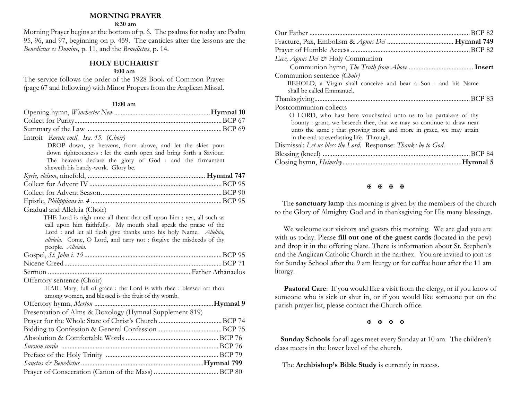## **MORNING PRAYER**

#### **8:30 am**

Morning Prayer begins at the bottom of p. 6. The psalms for today are Psalm 95, 96, and 97, beginning on p. 459. The canticles after the lessons are the *Benedictus es Domine,* p. 11, and the *Benedictus*, p. 14.

## **HOLY EUCHARIST**

#### **9:00 am**

The service follows the order of the 1928 Book of Common Prayer (page 67 and following) with Minor Propers from the Anglican Missal.

#### **11:00 am**

| Introit Rorate coeli. Isa. 45. (Choir)                               |  |
|----------------------------------------------------------------------|--|
| DROP down, ye heavens, from above, and let the skies pour            |  |
| down righteousness : let the earth open and bring forth a Saviour.   |  |
| The heavens declare the glory of God : and the firmament             |  |
| sheweth his handy-work. Glory be.                                    |  |
|                                                                      |  |
|                                                                      |  |
|                                                                      |  |
| Gradual and Alleluia (Choir)                                         |  |
| THE Lord is nigh unto all them that call upon him : yea, all such as |  |
| call upon him faithfully. My mouth shall speak the praise of the     |  |
| Lord : and let all flesh give thanks unto his holy Name. Alleluia,   |  |
| alleluia. Come, O Lord, and tarry not : forgive the misdeeds of thy  |  |
| people. Alleluia.                                                    |  |
|                                                                      |  |
|                                                                      |  |
|                                                                      |  |
| Offertory sentence (Choir)                                           |  |
| HAIL Mary, full of grace : the Lord is with thee : blessed art thou  |  |
| among women, and blessed is the fruit of thy womb.                   |  |
|                                                                      |  |
| Presentation of Alms & Doxology (Hymnal Supplement 819)              |  |
|                                                                      |  |
|                                                                      |  |
|                                                                      |  |
|                                                                      |  |
|                                                                      |  |
|                                                                      |  |
|                                                                      |  |

| Ecee, Agnus Dei & Holy Communion                                     |
|----------------------------------------------------------------------|
|                                                                      |
| Communion sentence (Choir)                                           |
| BEHOLD, a Virgin shall conceive and bear a Son : and his Name        |
| shall be called Emmanuel.                                            |
|                                                                      |
| Postcommunion collects                                               |
| O LORD, who hast here vouchsafed unto us to be partakers of thy      |
| bounty: grant, we beseech thee, that we may so continue to draw near |
| unto the same; that growing more and more in grace, we may attain    |
| in the end to everlasting life. Through.                             |
| Dismissal: Let us bless the Lord. Response: Thanks be to God.        |
|                                                                      |
|                                                                      |
|                                                                      |

#### **H H H H**

 The **sanctuary lamp** this morning is given by the members of the church to the Glory of Almighty God and in thanksgiving for His many blessings.

We welcome our visitors and guests this morning. We are glad you are with us today. Please **fill out one of the guest cards** (located in the pew) and drop it in the offering plate. There is information about St. Stephen's and the Anglican Catholic Church in the narthex. You are invited to join us for Sunday School after the 9 am liturgy or for coffee hour after the 11 am liturgy.

**Pastoral Care:** If you would like a visit from the clergy, or if you know of someone who is sick or shut in, or if you would like someone put on the parish prayer list, please contact the Church office.

**H H H H** 

 **Sunday Schools** for all ages meet every Sunday at 10 am. The children's class meets in the lower level of the church.

The **Archbishop's Bible Study** is currently in recess.